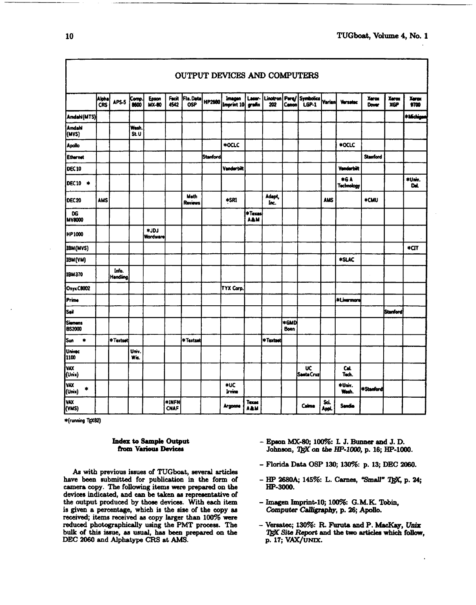|                                     | Alpha<br>CRS | APS-5             | Comp.<br>8600 | Epson<br><b>MX-80</b> | Facit<br>4542        | Fla.Data<br><b>OSP</b> | HP2680          | Imagen<br>Imprint 10 grafix | Laser-                | Linotron<br>202 | <b>Canon</b> | Perq/ Symbolics<br>LGP-1 | <b>Varian</b> | <b>Versetec</b>                 | Xerox<br>Dover  | Xerox<br>XGP    | Xerox<br>9700 |
|-------------------------------------|--------------|-------------------|---------------|-----------------------|----------------------|------------------------|-----------------|-----------------------------|-----------------------|-----------------|--------------|--------------------------|---------------|---------------------------------|-----------------|-----------------|---------------|
| Amdahi(MTS)                         |              |                   |               |                       |                      |                        |                 |                             |                       |                 |              |                          |               |                                 |                 |                 | *Michiga      |
| Amdahl<br>(MVS)                     |              |                   | Wash.<br>St.U |                       |                      |                        |                 |                             |                       |                 |              |                          |               |                                 |                 |                 |               |
| <b>Apollo</b>                       |              |                   |               |                       |                      |                        |                 | *OCLC                       |                       |                 |              |                          |               | *OCLC                           |                 |                 |               |
| <b>Ethernet</b>                     |              |                   |               |                       |                      |                        | <b>Stanford</b> |                             |                       |                 |              |                          |               |                                 | <b>Stanford</b> |                 |               |
| <b>DEC10</b>                        |              |                   |               |                       |                      |                        |                 | Vanderbilt                  |                       |                 |              |                          |               | <b>Vanderbilt</b>               |                 |                 |               |
| DEC10 *                             |              |                   |               |                       |                      |                        |                 |                             |                       |                 |              |                          |               | <b>*GA</b><br><b>Technology</b> |                 |                 | *Univ.<br>Dd. |
| DEC 20                              | <b>AMS</b>   |                   |               |                       |                      | Math<br>Reviews        |                 | *SR1                        |                       | Adapt,<br>Inc.  |              |                          | <b>AMS</b>    |                                 | *CMU            |                 |               |
| DG<br><b>MV8000</b>                 |              |                   |               |                       |                      |                        |                 |                             | * Texas<br><b>AAM</b> |                 |              |                          |               |                                 |                 |                 |               |
| <b>HP1000</b>                       |              |                   |               | LOL*<br>Wordware      |                      |                        |                 |                             |                       |                 |              |                          |               |                                 |                 |                 |               |
| IBM(MVS)                            |              |                   |               |                       |                      |                        |                 |                             |                       |                 |              |                          |               |                                 |                 |                 | *CΠ           |
| IBM (VM)                            |              |                   |               |                       |                      |                        |                 |                             |                       |                 |              |                          |               | *SLAC                           |                 |                 |               |
| <b>IBM370</b>                       |              | Info.<br>Handling |               |                       |                      |                        |                 |                             |                       |                 |              |                          |               |                                 |                 |                 |               |
| Onyx C8002                          |              |                   |               |                       |                      |                        |                 | TYX Corp.                   |                       |                 |              |                          |               |                                 |                 |                 |               |
| Prime                               |              |                   |               |                       |                      |                        |                 |                             |                       |                 |              |                          |               | *Livermore                      |                 |                 |               |
| Sail                                |              |                   |               |                       |                      |                        |                 |                             |                       |                 |              |                          |               |                                 |                 | <b>Stanford</b> |               |
| <b>Siemens</b><br><b>BS2000</b>     |              |                   |               |                       |                      |                        |                 |                             |                       |                 | *GMD<br>Bonn |                          |               |                                 |                 |                 |               |
| İSun<br>$\bullet$                   |              | *Textset          |               |                       |                      | *Textset               |                 |                             |                       | * Textset       |              |                          |               |                                 |                 |                 |               |
| Univec<br>1100                      |              |                   | Univ.<br>Wis. |                       |                      |                        |                 |                             |                       |                 |              |                          |               |                                 |                 |                 |               |
| lvax<br>(Unix)                      |              |                   |               |                       |                      |                        |                 |                             |                       |                 |              | <b>UC</b><br>Santa Cruz  |               | Cal.<br>Tech.                   |                 |                 |               |
| <b>VAX</b><br>$\pmb{\ast}$<br>(Umx) |              |                   |               |                       |                      |                        |                 | *UC<br>Irvine               |                       |                 |              |                          |               | *Univ.<br>Wesh.                 | *Stanford       |                 |               |
| <b>VAX</b><br>(VMS)                 |              |                   |               |                       | *INFN<br><b>CNAF</b> |                        |                 | Argonne                     | Texas<br>A&M          |                 |              | Calma                    | Sci.<br>Anol. | Sendia                          |                 |                 |               |

\*(running TEX82)

#### **Index to Sample Output** from Various Devices

As with previous issues of TUGboat, several articles have been submitted for publication in the form of camera copy. The following items were prepared on the devices indicated, and **can** be **taken ae** representative of the output produced by those devices. With each item - *Imagen Imprint-10*; 100%: G.M. K. Tobin, is given a percentage, which is the size of the copy as Computer Calligraphy, p. 26; Apollo. is given a percentage, which is the size of the copy as **received;** items received as copy larger than 100% **mre**  reduced photographically using the PMT process. The - Versatec; 130%: R. Furuta and P. MacKay, Unix bulk of this issue, as usual, has been prepared on the TgX Site Report and the two articles which follow, **bulk of this issue, as usual, has been prepared on the 'IFX Site Report a** DEC 2060 and Alphatype CRS at AMS.  $p. 17$ ; VAX/UNIX. DEC 2060 and Alphatype CRS at AMS.

- $-$  Epson MX-80; 100%: L J. Bunner and J. D. **Johnson,** 'If3C **on the HP-1000,** p. 16; **HP-1000.**
- Florida Data **OSP** 130; **la** p. 13; DEC **2060.**
- **have** been eubmitkd for publication in the form of **HP 3680A;** 145%: L. Carries, **"Smsll" p. a4;**
- 
- 

Ι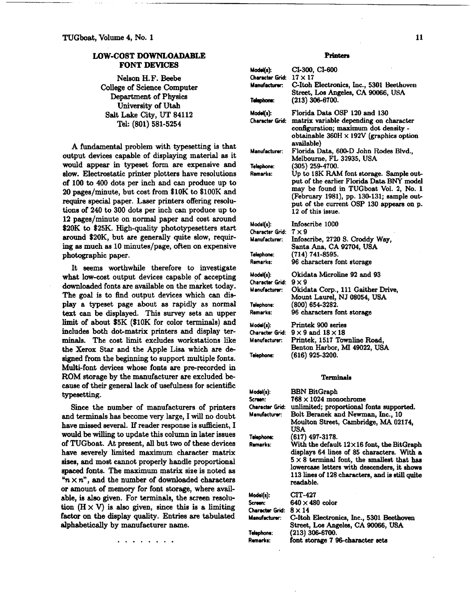# LOW-COST **DOWNLOADABLE FONT DEVICES**

Nelson **H.F.** Beebe College of **Science** Computer Department of Physics University of **Utah**  Salt Lake City, **UT 84112**  Tel: **(801) 581-5254** 

A fundamental problem with typesetting is that output devices capable of displaying material **as** it would appear in typeset form are expensive and **slow.** Electrostatic printer plotters have resolutions of **100** to **400** dots per inch and **can** produce up to **20** pages/minute, but cost from **\$10K** to **\$100K** and require special paper. Laser printers offering resolutions of **240** to **300** dots per inch **can** produce up to **12** pages/minute on normal paper and cost around **\$20K** to **\$25K.** High-quality phototypesetters start around **\$20K,** but are generally quite slow, requiring **se** much **as 10** minutes/page, often on expensive photographic paper.

It seems worthwhile therefore to investigate what low-cost output devices capable of accepting downloaded fonts are available on the market today. The goal is to **find** output devices which can display a typeset page about as rapidly as normal text can be displayed. This survey sets an upper limit of about **\$5K (\$10K** for color **terminals)** and includes both dot-matrix printers and display terminals. The cost limit excludes workstations like the Xerox Star and the Apple Lisa which are de signed from the beginning to support multiple fonts. Multi-font devices whose fonts are pre-recorded in **ROM** storage by the manufacturer are excluded because of their general lack of usefulness for scientific typesetting.

**Since** the number of manufacturers of printers and terminals has become very large, I will no doubt have missed several. If reader response is sufficient, I would be willing to update this column in later issues of TUGboat. At present, all but two of these devices have severely limited maximum character matrix sizes, and most cannot properly handle proportional **spaced** fonts. The maximum matrix size is noted as  $n \times n$ , and the number of downloaded characters or amount of memory for font storage, where available, is **dso** given. For terminals, the screen resolution  $(H \times V)$  is also given, since this is a limiting factor on the display quality. Entries are tabulated alphabetically by manufacturer name.

Printers

| Model(s):<br><b>Character Grid:</b><br>Manufacturer:<br>Telephone:      | CI-300, CI-600<br>$17 \times 17$<br>C-Itoh Electronics, Inc., 5301 Beethoven<br>Street, Los Angeles, CA 90066, USA<br>$(213)$ 306-6700.                                                                                                                                                                                               |
|-------------------------------------------------------------------------|---------------------------------------------------------------------------------------------------------------------------------------------------------------------------------------------------------------------------------------------------------------------------------------------------------------------------------------|
| Model(s):<br>Character Grid:                                            | Florida Data OSP 120 and 130<br>matrix variable depending on character<br>configuration; maximum dot density -<br>obtainable $360H \times 192V$ (graphics option<br>available)                                                                                                                                                        |
| Manufacturer:<br>Telephone:<br>Remarks:                                 | Florida Data, 600-D John Rodes Blvd.,<br>Melbourne, FL 32935, USA<br>$(305)$ 259-4700.<br>Up to 18K RAM font storage. Sample out-<br>put of the earlier Florida Data BNY model<br>may be found in TUGboat Vol. 2, No. 1<br>(February 1981), pp. 130-131; sample out-<br>put of the current OSP 130 appears on p.<br>12 of this issue. |
| Model(s):<br>Character Grid:<br>Manufacturer:<br>Telephone:<br>Remarks: | Infoscribe 1000<br>$7 \times 9$<br>Infoscribe, 2720 S. Croddy Way,<br>Santa Ana, CA 92704, USA<br>(714) 741-8595.<br>96 characters font storage                                                                                                                                                                                       |
| Model(s):<br>Character Grid:<br>Manufacturer:<br>Telephone:<br>Remarks: | Okidata Microline 92 and 93<br>$9 \times 9$<br>Okidata Corp., 111 Gaither Drive,<br>Mount Laurel, NJ 08054, USA<br>(800) 654-3282.<br>96 characters font storage                                                                                                                                                                      |
| $Model(s)$ :<br>Character Grid:<br>Manufacturar:<br>Telephone:          | Printek 900 series<br>$9 \times 9$ and $18 \times 18$<br>Printek, 1517 Townline Road,<br>Benton Harbor, MI 49022, USA<br>(616) 925-3200.                                                                                                                                                                                              |

## Terminals

| Model(s).       | <b>BBN BitGraph</b>                                                                                                                                                                                                                                                  |
|-----------------|----------------------------------------------------------------------------------------------------------------------------------------------------------------------------------------------------------------------------------------------------------------------|
| Screen:         | $768 \times 1024$ monochrome                                                                                                                                                                                                                                         |
| Character Grid: | unlimited; proportional fonts supported.                                                                                                                                                                                                                             |
| Manufacturer:   | Bolt Beranek and Newman, Inc., 10                                                                                                                                                                                                                                    |
|                 | Moulton Street, Cambridge, MA 02174,                                                                                                                                                                                                                                 |
|                 | USA                                                                                                                                                                                                                                                                  |
| Telephone:      | (617) 497-3178.                                                                                                                                                                                                                                                      |
| Remarks:        | With the default $12 \times 16$ font, the BitGraph<br>displays 64 lines of 85 characters. With a<br>$5 \times 8$ terminal font, the smallest that has<br>lowercase letters with descenders, it shows<br>113 lines of 128 characters, and is still quite<br>readable. |
| Model(s):       | CIT-427                                                                                                                                                                                                                                                              |
| Screen:         | $640 \times 480$ color                                                                                                                                                                                                                                               |
| Character Grid: | $8 \times 14$                                                                                                                                                                                                                                                        |
| Manufacturer:   | C-Itoh Electronics, Inc., 5301 Beethoven                                                                                                                                                                                                                             |
|                 | Street, Los Angeles, CA 90066, USA                                                                                                                                                                                                                                   |
| Telephone:      | (213) 306-6700.                                                                                                                                                                                                                                                      |
| Remarks:        | font storage 7 96-character sets                                                                                                                                                                                                                                     |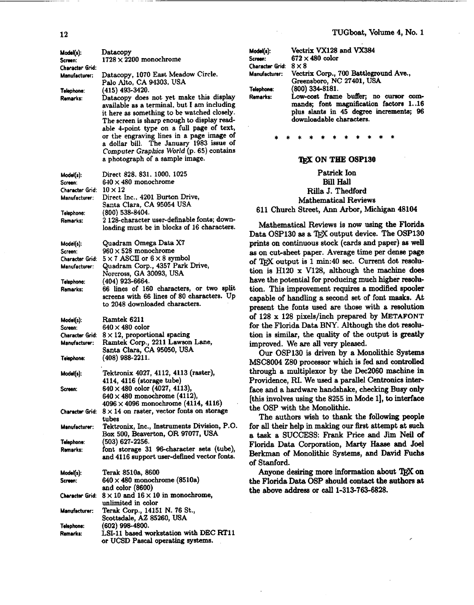| Model(s):<br>Screen:             | Datacopy<br>$1728 \times 2200$ monochrome                                                                                                                                                                                                                                                                                                                                                                                    |
|----------------------------------|------------------------------------------------------------------------------------------------------------------------------------------------------------------------------------------------------------------------------------------------------------------------------------------------------------------------------------------------------------------------------------------------------------------------------|
| Character Grid:<br>Manufacturer: | Datacopy, 1070 East Meadow Circle.<br>Palo Alto, CA 94303, USA                                                                                                                                                                                                                                                                                                                                                               |
| Telephone:<br>Remarks:           | (415) 493-3420.<br>Datacopy does not yet make this display<br>available as a terminal, but I am including<br>it here as something to be watched closely.<br>The screen is sharp enough to display read-<br>able 4-point type on a full page of text,<br>or the engraving lines in a page image of<br>a dollar bill. The January 1983 issue of<br>Computer Graphics World (p. 65) contains<br>a photograph of a sample image. |
| Model(s):<br>Screen:             | Direct 828, 831, 1000, 1025<br>$640 \times 480$ monochrome                                                                                                                                                                                                                                                                                                                                                                   |
| Character Grid:<br>Manufacturer: | $10 \times 12$<br>Direct Inc., 4201 Burton Drive,<br>Santa Clara, CA 95054 USA                                                                                                                                                                                                                                                                                                                                               |
| Telephone:<br>Remarks:           | $(800)$ 538-8404.<br>2 128-character user-definable fonts; down-<br>loading must be in blocks of 16 characters.                                                                                                                                                                                                                                                                                                              |
| Model(s):                        | Quadram Omega Data X7                                                                                                                                                                                                                                                                                                                                                                                                        |
| Screen:<br>Character Grid:       | $960 \times 528$ monochrome<br>$5 \times 7$ ASCII or $6 \times 8$ symbol                                                                                                                                                                                                                                                                                                                                                     |
| Manufacturer:                    | Quadram Corp., 4357 Park Drive,<br>Norcross, GA 30093, USA                                                                                                                                                                                                                                                                                                                                                                   |
| Telsphone:<br>Remarks:           | (404) 923-6664.<br>66 lines of 160 characters, or two split<br>screens with 66 lines of 80 characters. Up<br>to 2048 downloaded characters.                                                                                                                                                                                                                                                                                  |
| Model(s):<br>Screen:             | Ramtek 6211<br>$640 \times 480$ color                                                                                                                                                                                                                                                                                                                                                                                        |
| Character Grid:<br>Manufacturer: | $8 \times 12$ , proportional spacing<br>Ramtek Corp., 2211 Lawson Lane,<br>Santa Clara, CA 95050, USA                                                                                                                                                                                                                                                                                                                        |
| Telephone:                       | $(408)$ 988-2211.                                                                                                                                                                                                                                                                                                                                                                                                            |
| Model(s):                        | Tektronix 4027, 4112, 4113 (raster),<br>4114, 4116 (storage tube)                                                                                                                                                                                                                                                                                                                                                            |
| Screen:                          | $640 \times 480$ color (4027, 4113),<br>$640 \times 480$ monochrome (4112),<br>$4096 \times 4096$ monochrome (4114, 4116)                                                                                                                                                                                                                                                                                                    |
| Character Grid:                  | $8 \times 14$ on raster, vector fonts on storage<br>tubes                                                                                                                                                                                                                                                                                                                                                                    |
| Manufacturer:                    | Tektronix, Inc., Instruments Division, P.O.<br>Box 500, Beaverton, OR 97077, USA                                                                                                                                                                                                                                                                                                                                             |
| Telephone:<br>Remarks:           | (503) 627-2256.<br>font storage 31 96-character sets (tube),<br>and 4116 support user-defined vector fonts.                                                                                                                                                                                                                                                                                                                  |
| Model(s).                        | Terak 8510a, 8600                                                                                                                                                                                                                                                                                                                                                                                                            |
| Screen:                          | $640 \times 480$ monochrome (8510a)<br>and color (8600)                                                                                                                                                                                                                                                                                                                                                                      |
| Character Grid:                  | $8 \times 10$ and $16 \times 10$ in monochrome,<br>unlimited in color                                                                                                                                                                                                                                                                                                                                                        |
| Manufacturer:                    | Terak Corp., 14151 N. 76 St.,<br>Scottsdale, AZ 85260, USA                                                                                                                                                                                                                                                                                                                                                                   |
| Telephone:<br>Remarks:           | $(602)$ 998-4800.<br>LSI-11 based workstation with DEC RT11<br>or UCSD Pascal operating systems.                                                                                                                                                                                                                                                                                                                             |

| Model(s):                    | Vectrix VX128 and VX384                                                                                      |
|------------------------------|--------------------------------------------------------------------------------------------------------------|
| Screen:                      | $672 \times 480$ color                                                                                       |
| Character Grid: $8 \times 8$ |                                                                                                              |
| Manufacturer:                | Vectrix Corp., 700 Battleground Ave.,                                                                        |
|                              | Greensboro, NC 27401, USA                                                                                    |
| Telephone:                   | (800) 334-8181.                                                                                              |
| Remarks:                     | Low-cost frame buffer; no cursor com-                                                                        |
|                              | mands; font magnification factors 116<br>plus slants in 45 degree increments; 96<br>downloadable characters. |

#### 'QX **ON TEE OSP130**

Patrick Ion Bill Hall Rilla **J.** Thedford Mathematical Reviews **611** Church Street, Ann Arbor, Michigan **48104** 

Mathematical Reviews is now using the Florida Data OSP130 as a TFX output device. The OSP130 prints on continuous stock (cards and paper) **ss** well as on cut-sheet paper. Average time per dense page of TFX output is 1 min:40 sec. Current dot resolution is H120 x V128, although the machine does have the potential for producing much higher resolution. This improvement requires a modified spooler capable of handling a second set of font **masks.** At present the fonts used are those with a resolution of **128** x **128** pixels/inch prepared **by METAFONT**  for the Florida Data BNY. Although the dot resolution is similar, the quality of the output is **greatly**  improved. We are all very pleased.

**Our OSP130** is driven **by** a Monolithic **Syetems MSC8004 280** processor which is fed and controlled through a multiplexor by the **Dec2060** machine in Providence, **RI.** We **used** a parallel Centronics interface and a hardware handshake, **checking** Busy only [this involves using the **8255** in Mode I], to **interface**  the OSP with the Monolithic.

The authors wish to thank the following people for all their help in making our first attempt at **such**  a task a SUCCESS: **Frank** Price and Jim Neil of Florida Data Corporation, **Marty Haase** and Joel Berkman of Monolithic Systems, and David **Fuchs**  of Stanford.

Anyone desiring more information about TFX on the Florida Data **OSP** should contact the authors at the **above addrew** or call **1-313-763-6828.**